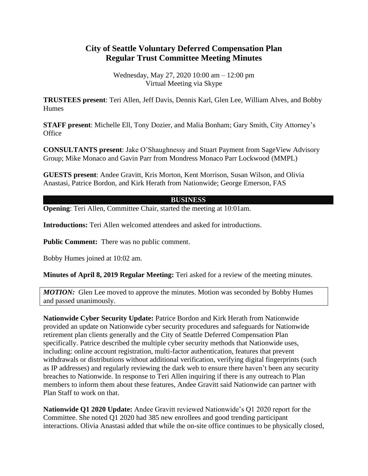## **City of Seattle Voluntary Deferred Compensation Plan Regular Trust Committee Meeting Minutes**

Wednesday, May 27, 2020 10:00 am – 12:00 pm Virtual Meeting via Skype

**TRUSTEES present**: Teri Allen, Jeff Davis, Dennis Karl, Glen Lee, William Alves, and Bobby Humes

**STAFF present**: Michelle Ell, Tony Dozier, and Malia Bonham; Gary Smith, City Attorney's **Office** 

**CONSULTANTS present**: Jake O'Shaughnessy and Stuart Payment from SageView Advisory Group; Mike Monaco and Gavin Parr from Mondress Monaco Parr Lockwood (MMPL)

**GUESTS present**: Andee Gravitt, Kris Morton, Kent Morrison, Susan Wilson, and Olivia Anastasi, Patrice Bordon, and Kirk Herath from Nationwide; George Emerson, FAS

## **BUSINESS**

**Opening:** Teri Allen, Committee Chair, started the meeting at 10:01am.

**Introductions:** Teri Allen welcomed attendees and asked for introductions.

**Public Comment:** There was no public comment.

Bobby Humes joined at 10:02 am.

**Minutes of April 8, 2019 Regular Meeting:** Teri asked for a review of the meeting minutes.

*MOTION:* Glen Lee moved to approve the minutes. Motion was seconded by Bobby Humes and passed unanimously.

**Nationwide Cyber Security Update:** Patrice Bordon and Kirk Herath from Nationwide provided an update on Nationwide cyber security procedures and safeguards for Nationwide retirement plan clients generally and the City of Seattle Deferred Compensation Plan specifically. Patrice described the multiple cyber security methods that Nationwide uses, including: online account registration, multi-factor authentication, features that prevent withdrawals or distributions without additional verification, verifying digital fingerprints (such as IP addresses) and regularly reviewing the dark web to ensure there haven't been any security breaches to Nationwide. In response to Teri Allen inquiring if there is any outreach to Plan members to inform them about these features, Andee Gravitt said Nationwide can partner with Plan Staff to work on that.

**Nationwide Q1 2020 Update:** Andee Gravitt reviewed Nationwide's Q1 2020 report for the Committee. She noted Q1 2020 had 385 new enrollees and good trending participant interactions. Olivia Anastasi added that while the on-site office continues to be physically closed,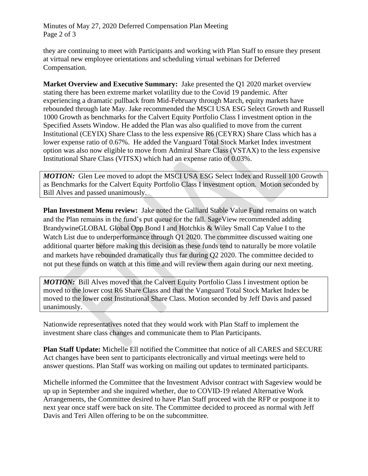Minutes of May 27, 2020 Deferred Compensation Plan Meeting Page 2 of 3

they are continuing to meet with Participants and working with Plan Staff to ensure they present at virtual new employee orientations and scheduling virtual webinars for Deferred Compensation.

**Market Overview and Executive Summary:** Jake presented the Q1 2020 market overview stating there has been extreme market volatility due to the Covid 19 pandemic. After experiencing a dramatic pullback from Mid-February through March, equity markets have rebounded through late May. Jake recommended the MSCI USA ESG Select Growth and Russell 1000 Growth as benchmarks for the Calvert Equity Portfolio Class I investment option in the Specified Assets Window. He added the Plan was also qualified to move from the current Institutional (CEYIX) Share Class to the less expensive R6 (CEYRX) Share Class which has a lower expense ratio of 0.67%. He added the Vanguard Total Stock Market Index investment option was also now eligible to move from Admiral Share Class (VSTAX) to the less expensive Institutional Share Class (VITSX) which had an expense ratio of 0.03%.

*MOTION:* Glen Lee moved to adopt the MSCI USA ESG Select Index and Russell 100 Growth as Benchmarks for the Calvert Equity Portfolio Class I investment option. Motion seconded by Bill Alves and passed unanimously.

**Plan Investment Menu review:** Jake noted the Galliard Stable Value Fund remains on watch and the Plan remains in the fund's put queue for the fall. SageView recommended adding BrandywineGLOBAL Global Opp Bond I and Hotchkis & Wiley Small Cap Value I to the Watch List due to underperformance through Q1 2020. The committee discussed waiting one additional quarter before making this decision as these funds tend to naturally be more volatile and markets have rebounded dramatically thus far during Q2 2020. The committee decided to not put these funds on watch at this time and will review them again during our next meeting.

*MOTION:* Bill Alves moved that the Calvert Equity Portfolio Class I investment option be moved to the lower cost R6 Share Class and that the Vanguard Total Stock Market Index be moved to the lower cost Institutional Share Class. Motion seconded by Jeff Davis and passed unanimously.

Nationwide representatives noted that they would work with Plan Staff to implement the investment share class changes and communicate them to Plan Participants.

**Plan Staff Update:** Michelle Ell notified the Committee that notice of all CARES and SECURE Act changes have been sent to participants electronically and virtual meetings were held to answer questions. Plan Staff was working on mailing out updates to terminated participants.

Michelle informed the Committee that the Investment Advisor contract with Sageview would be up up in September and she inquired whether, due to COVID-19 related Alternative Work Arrangements, the Committee desired to have Plan Staff proceed with the RFP or postpone it to next year once staff were back on site. The Committee decided to proceed as normal with Jeff Davis and Teri Allen offering to be on the subcommittee.